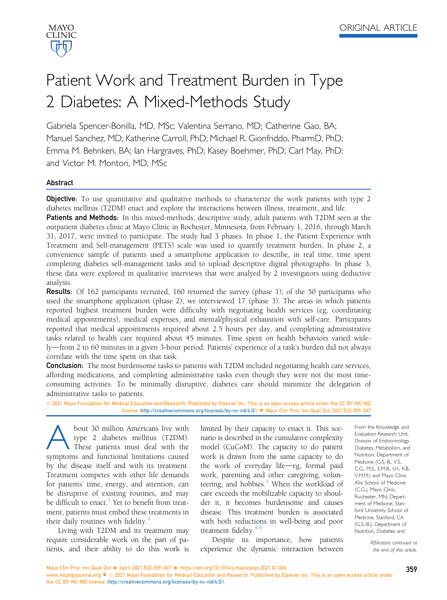

# Patient Work and Treatment Burden in Type 2 Diabetes: A Mixed-Methods Study

Gabriela Spencer-Bonilla, MD, MSc; Valentina Serrano, MD; Catherine Gao, BA; Manuel Sanchez, MD; Katherine Carroll, PhD; Michael R. Gionfriddo, PharmD, PhD; Emma M. Behnken, BA; Ian Hargraves, PhD; Kasey Boehmer, PhD; Carl May, PhD; and Victor M. Montori, MD, MSc

# Abstract

**Objective**: To use quantitative and qualitative methods to characterize the work patients with type 2 diabetes mellitus (T2DM) enact and explore the interactions between illness, treatment, and life.

**Patients and Methods:** In this mixed-methods, descriptive study, adult patients with T2DM seen at the outpatient diabetes clinic at Mayo Clinic in Rochester, Minnesota, from February 1, 2016, through March 31, 2017, were invited to participate. The study had 3 phases. In phase 1, the Patient Experience with Treatment and Self-management (PETS) scale was used to quantify treatment burden. In phase 2, a convenience sample of patients used a smartphone application to describe, in real time, time spent completing diabetes self-management tasks and to upload descriptive digital photographs. In phase 3, these data were explored in qualitative interviews that were analyed by 2 investigators using deductive analysis.

Results: Of 162 participants recruited, 160 returned the survey (phase 1); of the 50 participants who used the smartphone application (phase 2), we interviewed 17 (phase 3). The areas in which patients reported highest treatment burden were difficulty with negotiating health services (eg, coordinating medical appointments), medical expenses, and mental/physical exhaustion with self-care. Participants reported that medical appointments required about 2.5 hours per day, and completing administrative tasks related to health care required about 45 minutes. Time spent on health behaviors varied widely—from 2 to 60 minutes in a given 3-hour period. Patients' experience of a task's burden did not always correlate with the time spent on that task.

**Conclusion:** The most burdensome tasks to patients with T2DM included negotiating health care services, affording medications, and completing administrative tasks even though they were not the most timeconsuming activities. To be minimally disruptive, diabetes care should minimize the delegation of administrative tasks to patients.

ª 2021 Mayo Foundation for Medical Education and Research. Published by Elsevier Inc. This is an open access article under the CC BY-NC-ND license ([http://creativecommons.org/licenses/by-nc-nd/4.0/\)](http://creativecommons.org/licenses/by-nc-nd/4.0/) Mayo Clin Proc Inn Qual Out 2021;5(2):359-367

bout 30 million Americans live with<br>type 2 diabetes mellitus (T2DM).<br>These patients must deal with the<br>symptoms and functional limitations caused type 2 diabetes mellitus (T2DM). These patients must deal with the symptoms and functional limitations caused by the disease itself and with its treatment. Treatment competes with other life demands for patients' time, energy, and attention, can be disruptive of existing routines, and may be difficult to enact. $<sup>1</sup>$  $<sup>1</sup>$  $<sup>1</sup>$  Yet to benefit from treat-</sup> ment, patients must embed these treatments in their daily routines with fidelity. $\frac{2}{x}$  $\frac{2}{x}$  $\frac{2}{x}$ 

Living with T2DM and its treatment may require considerable work on the part of patients, and their ability to do this work is limited by their capacity to enact it. This scenario is described in the cumulative complexity model (CuCoM). The capacity to do patient work is drawn from the same capacity to do the work of everyday life $-e$ g, formal paid work, parenting and other caregiving, volunteering, and hobbies.<sup>3</sup> When the workload of care exceeds the mobilizable capacity to shoulder it, it becomes burdensome and causes disease. This treatment burden is associated with both reductions in well-being and poor treatment fidelity.<sup>4-6</sup>

Despite its importance, how patients experience the dynamic interaction between From the Knowledge and Evaluation Research Unit, Division of Endocrinology, Diabetes, Metabolism, and Nutrition, Department of Medicine (G.S.-B., V.S., C.G., M.S., E.M.B., I.H., K.B., V.M.M.) and Mayo Clinic Alix School of Medicine (C.G.), Mayo Clinic, Rochester, MN; Department of Medicine, Stanford University School of Medicine, Stanford, CA (G.S.-B.); Department of Nutrition, Diabetes and

> Affiliations continued at the end of this article.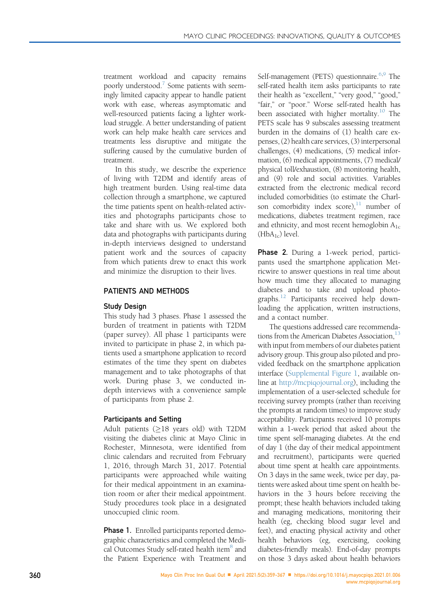treatment workload and capacity remains poorly understood.<sup>7</sup> Some patients with seemingly limited capacity appear to handle patient work with ease, whereas asymptomatic and well-resourced patients facing a lighter workload struggle. A better understanding of patient work can help make health care services and treatments less disruptive and mitigate the suffering caused by the cumulative burden of treatment.

In this study, we describe the experience of living with T2DM and identify areas of high treatment burden. Using real-time data collection through a smartphone, we captured the time patients spent on health-related activities and photographs participants chose to take and share with us. We explored both data and photographs with participants during in-depth interviews designed to understand patient work and the sources of capacity from which patients drew to enact this work and minimize the disruption to their lives.

# PATIENTS AND METHODS

# Study Design

This study had 3 phases. Phase 1 assessed the burden of treatment in patients with T2DM (paper survey). All phase 1 participants were invited to participate in phase 2, in which patients used a smartphone application to record estimates of the time they spent on diabetes management and to take photographs of that work. During phase 3, we conducted indepth interviews with a convenience sample of participants from phase 2.

# Participants and Setting

Adult patients  $(\geq 18$  years old) with T2DM visiting the diabetes clinic at Mayo Clinic in Rochester, Minnesota, were identified from clinic calendars and recruited from February 1, 2016, through March 31, 2017. Potential participants were approached while waiting for their medical appointment in an examination room or after their medical appointment. Study procedures took place in a designated unoccupied clinic room.

**Phase 1.** Enrolled participants reported demographic characteristics and completed the Medical Outcomes Study self-rated health item<sup>8</sup> and the Patient Experience with Treatment and

Self-management (PETS) questionnaire.<sup>6,[9](#page-8-3)</sup> The self-rated health item asks participants to rate their health as "excellent," "very good," "good," "fair," or "poor." Worse self-rated health has been associated with higher mortality.<sup>[10](#page-8-4)</sup> The PETS scale has 9 subscales assessing treatment burden in the domains of (1) health care expenses, (2) health care services, (3) interpersonal challenges, (4) medications, (5) medical information, (6) medical appointments, (7) medical/ physical toll/exhaustion, (8) monitoring health, and (9) role and social activities. Variables extracted from the electronic medical record included comorbidities (to estimate the Charlson comorbidity index score), $\frac{11}{11}$  $\frac{11}{11}$  $\frac{11}{11}$  number of medications, diabetes treatment regimen, race and ethnicity, and most recent hemoglobin  $A_{1c}$  $(HbA_{1c})$  level.

**Phase 2.** During a 1-week period, participants used the smartphone application Metricwire to answer questions in real time about how much time they allocated to managing diabetes and to take and upload photo-graphs.<sup>[12](#page-8-6)</sup> Participants received help downloading the application, written instructions, and a contact number.

The questions addressed care recommenda-tions from the American Diabetes Association,<sup>[13](#page-8-7)</sup> with input from members of our diabetes patient advisory group. This group also piloted and provided feedback on the smartphone application interface (Supplemental Figure 1, available online at [http://mcpiqojournal.org\)](http://mcpiqojournal.org), including the implementation of a user-selected schedule for receiving survey prompts (rather than receiving the prompts at random times) to improve study acceptability. Participants received 10 prompts within a 1-week period that asked about the time spent self-managing diabetes. At the end of day 1 (the day of their medical appointment and recruitment), participants were queried about time spent at health care appointments. On 3 days in the same week, twice per day, patients were asked about time spent on health behaviors in the 3 hours before receiving the prompt; these health behaviors included taking and managing medications, monitoring their health (eg, checking blood sugar level and feet), and enacting physical activity and other health behaviors (eg, exercising, cooking diabetes-friendly meals). End-of-day prompts on those 3 days asked about health behaviors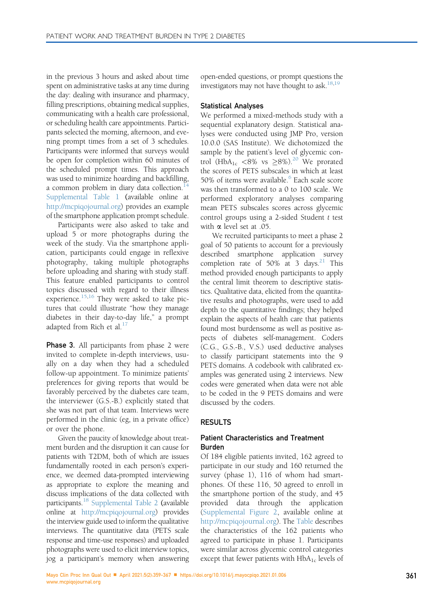in the previous 3 hours and asked about time spent on administrative tasks at any time during the day: dealing with insurance and pharmacy, filling prescriptions, obtaining medical supplies, communicating with a health care professional, or scheduling health care appointments. Participants selected the morning, afternoon, and evening prompt times from a set of 3 schedules. Participants were informed that surveys would be open for completion within 60 minutes of the scheduled prompt times. This approach was used to minimize hoarding and backfilling, a common problem in diary data collection. $<sup>1</sup>$ </sup> Supplemental Table 1 (available online at [http://mcpiqojournal.org\)](http://mcpiqojournal.org) provides an example of the smartphone application prompt schedule.

Participants were also asked to take and upload 5 or more photographs during the week of the study. Via the smartphone application, participants could engage in reflexive photography, taking multiple photographs before uploading and sharing with study staff. This feature enabled participants to control topics discussed with regard to their illness experience. $15,16$  $15,16$  $15,16$  They were asked to take pictures that could illustrate "how they manage diabetes in their day-to-day life," a prompt adapted from Rich et al.<sup>[17](#page-8-11)</sup>

**Phase 3.** All participants from phase 2 were invited to complete in-depth interviews, usually on a day when they had a scheduled follow-up appointment. To minimize patients' preferences for giving reports that would be favorably perceived by the diabetes care team, the interviewer (G.S.-B.) explicitly stated that she was not part of that team. Interviews were performed in the clinic (eg, in a private office) or over the phone.

Given the paucity of knowledge about treatment burden and the disruption it can cause for patients with T2DM, both of which are issues fundamentally rooted in each person's experience, we deemed data-prompted interviewing as appropriate to explore the meaning and discuss implications of the data collected with participants.<sup>18</sup> Supplemental Table 2 (available online at <http://mcpiqojournal.org>) provides the interview guide used to inform the qualitative interviews. The quantitative data (PETS scale response and time-use responses) and uploaded photographs were used to elicit interview topics, jog a participant's memory when answering

open-ended questions, or prompt questions the investigators may not have thought to ask.<sup>[18](#page-8-12),[19](#page-8-13)</sup>

#### Statistical Analyses

We performed a mixed-methods study with a sequential explanatory design. Statistical analyses were conducted using JMP Pro, version 10.0.0 (SAS Institute). We dichotomized the sample by the patient's level of glycemic control (HbA<sub>1c</sub> <8% vs  $\geq$ 8%).<sup>[20](#page-8-14)</sup> We prorated the scores of PETS subscales in which at least 50% of items were available.<sup>[6](#page-8-2)</sup> Each scale score was then transformed to a 0 to 100 scale. We performed exploratory analyses comparing mean PETS subscales scores across glycemic control groups using a 2-sided Student  $t$  test with  $\alpha$  level set at .05.

We recruited participants to meet a phase 2 goal of 50 patients to account for a previously described smartphone application survey completion rate of 50% at 3 days.<sup>[21](#page-8-15)</sup> This method provided enough participants to apply the central limit theorem to descriptive statistics. Qualitative data, elicited from the quantitative results and photographs, were used to add depth to the quantitative findings; they helped explain the aspects of health care that patients found most burdensome as well as positive aspects of diabetes self-management. Coders (C.G., G.S.-B., V.S.) used deductive analyses to classify participant statements into the 9 PETS domains. A codebook with calibrated examples was generated using 2 interviews. New codes were generated when data were not able to be coded in the 9 PETS domains and were discussed by the coders.

#### RESULTS

## Patient Characteristics and Treatment Burden

Of 184 eligible patients invited, 162 agreed to participate in our study and 160 returned the survey (phase 1), 116 of whom had smartphones. Of these 116, 50 agreed to enroll in the smartphone portion of the study, and 45 provided data through the application (Supplemental Figure 2, available online at <http://mcpiqojournal.org>). The [Table](#page-3-0) describes the characteristics of the 162 patients who agreed to participate in phase 1. Participants were similar across glycemic control categories except that fewer patients with  $HbA_{1c}$  levels of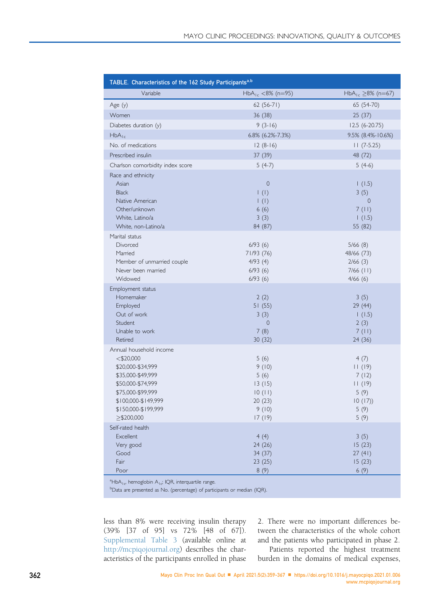<span id="page-3-0"></span>

| TABLE. Characteristics of the 162 Study Participants <sup>a,b</sup>                                                                                                                                  |                                                                        |                                                                     |
|------------------------------------------------------------------------------------------------------------------------------------------------------------------------------------------------------|------------------------------------------------------------------------|---------------------------------------------------------------------|
| Variable                                                                                                                                                                                             | $HbA_{1c}$ <8% (n=95)                                                  | HbA <sub>1c</sub> $\geq$ 8% (n=67)                                  |
| Age $(y)$                                                                                                                                                                                            | $62(56-71)$                                                            | 65 (54-70)                                                          |
| Women                                                                                                                                                                                                | 36(38)                                                                 | 25(37)                                                              |
| Diabetes duration (y)                                                                                                                                                                                | $9(3-16)$                                                              | $12.5(6-20.75)$                                                     |
| $HbA_{1c}$                                                                                                                                                                                           | 6.8% (6.2%-7.3%)                                                       | 9.5% (8.4%-10.6%)                                                   |
| No. of medications                                                                                                                                                                                   | $12(8-16)$                                                             | $11(7-5.25)$                                                        |
| Prescribed insulin                                                                                                                                                                                   | 37 (39)                                                                | 48 (72)                                                             |
| Charlson comorbidity index score                                                                                                                                                                     | $5(4-7)$                                                               | $5(4-6)$                                                            |
| Race and ethnicity<br>Asian<br><b>Black</b><br>Native American<br>Other/unknown<br>White, Latino/a<br>White, non-Latino/a                                                                            | $\mathbf 0$<br>$\vert$ (l)<br>$\vert$ (l)<br>6(6)<br>3(3)<br>84 (87)   | 1(1.5)<br>3(5)<br>0<br>7(11)<br>1(1.5)<br>55 (82)                   |
| Marital status<br>Divorced<br>Married<br>Member of unmarried couple<br>Never been married<br>Widowed                                                                                                 | 6/93(6)<br>71/93 (76)<br>4/93(4)<br>6/93(6)<br>6/93(6)                 | 5/66(8)<br>48/66 (73)<br>2/66(3)<br>$7/66$ (11)<br>4/66(6)          |
| Employment status<br>Homemaker<br>Employed<br>Out of work<br>Student<br>Unable to work<br>Retired                                                                                                    | 2(2)<br>51(55)<br>3(3)<br>0<br>7(8)<br>30(32)                          | 3(5)<br>29 (44)<br>1(1.5)<br>2(3)<br>7(11)<br>24 (36)               |
| Annual household income<br>$<$ \$20,000<br>\$20,000-\$34,999<br>\$35,000-\$49,999<br>\$50,000-\$74,999<br>\$75,000-\$99,999<br>\$100,000-\$149,999<br>\$150,000-\$199,999<br>$>\frac{5200,000}{500}$ | 5(6)<br>9(10)<br>5(6)<br>13(15)<br>10(11)<br>20(23)<br>9(10)<br>17(19) | 4(7)<br>11(19)<br>7(12)<br>11(19)<br>5(9)<br>10(17)<br>5(9)<br>5(9) |
| Self-rated health<br>Excellent<br>Very good<br>Good<br>Fair<br>Poor                                                                                                                                  | 4(4)<br>24 (26)<br>34 (37)<br>23(25)<br>8(9)                           | 3(5)<br>15(23)<br>27(41)<br>15(23)<br>6(9)                          |

<span id="page-3-1"></span><sup>a</sup>HbA<sub>1c</sub>, hemoglobin A<sub>1c</sub>; IQR, interquartile range.

<span id="page-3-2"></span><sup>b</sup>Data are presented as No. (percentage) of participants or median (IQR).

less than 8% were receiving insulin therapy (39% [37 of 95] vs 72% [48 of 67]). Supplemental Table 3 (available online at [http://mcpiqojournal.org\)](http://mcpiqojournal.org) describes the characteristics of the participants enrolled in phase

2. There were no important differences between the characteristics of the whole cohort and the patients who participated in phase 2.

Patients reported the highest treatment burden in the domains of medical expenses,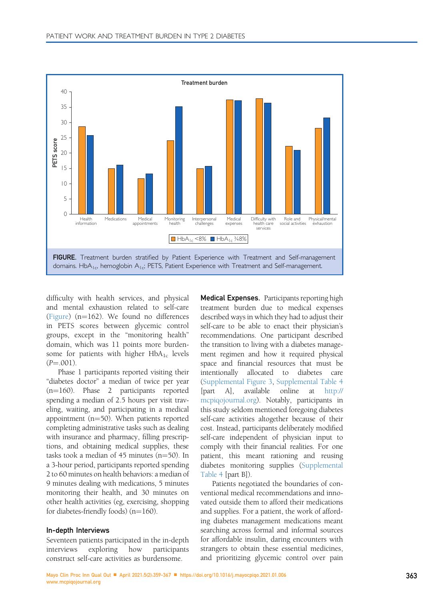<span id="page-4-0"></span>

difficulty with health services, and physical and mental exhaustion related to self-care ([Figure](#page-4-0)) ( $n=162$ ). We found no differences in PETS scores between glycemic control groups, except in the "monitoring health" domain, which was 11 points more burdensome for patients with higher  $HbA_{1c}$  levels  $(P = .001)$ .

Phase 1 participants reported visiting their "diabetes doctor" a median of twice per year  $(n=160)$ . Phase 2 participants reported spending a median of 2.5 hours per visit traveling, waiting, and participating in a medical appointment ( $n=50$ ). When patients reported completing administrative tasks such as dealing with insurance and pharmacy, filling prescriptions, and obtaining medical supplies, these tasks took a median of  $45$  minutes ( $n=50$ ). In a 3-hour period, participants reported spending 2 to 60 minutes on health behaviors: a median of 9 minutes dealing with medications, 5 minutes monitoring their health, and 30 minutes on other health activities (eg, exercising, shopping for diabetes-friendly foods)  $(n=160)$ .

#### In-depth Interviews

Seventeen patients participated in the in-depth interviews exploring how participants construct self-care activities as burdensome.

Medical Expenses. Participants reporting high treatment burden due to medical expenses described ways in which they had to adjust their self-care to be able to enact their physician's recommendations. One participant described the transition to living with a diabetes management regimen and how it required physical space and financial resources that must be intentionally allocated to diabetes care (Supplemental Figure 3, Supplemental Table 4 [part A], available online at [http://](http://mcpiqojournal.org) [mcpiqojournal.org\)](http://mcpiqojournal.org). Notably, participants in this study seldom mentioned foregoing diabetes self-care activities altogether because of their cost. Instead, participants deliberately modified self-care independent of physician input to comply with their financial realities. For one patient, this meant rationing and reusing diabetes monitoring supplies (Supplemental Table 4 [part B]).

Patients negotiated the boundaries of conventional medical recommendations and innovated outside them to afford their medications and supplies. For a patient, the work of affording diabetes management medications meant searching across formal and informal sources for affordable insulin, daring encounters with strangers to obtain these essential medicines, and prioritizing glycemic control over pain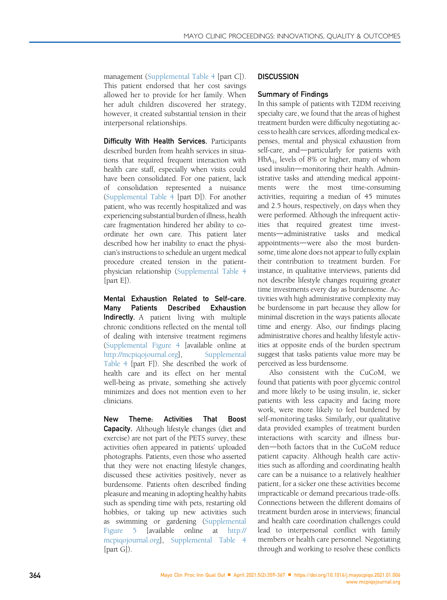management (Supplemental Table 4 [part C]). This patient endorsed that her cost savings allowed her to provide for her family. When her adult children discovered her strategy, however, it created substantial tension in their interpersonal relationships.

Difficulty With Health Services. Participants described burden from health services in situations that required frequent interaction with health care staff, especially when visits could have been consolidated. For one patient, lack of consolidation represented a nuisance (Supplemental Table 4 [part D]). For another patient, who was recently hospitalized and was experiencing substantial burden of illness, health care fragmentation hindered her ability to coordinate her own care. This patient later described how her inability to enact the physician's instructions to schedule an urgent medical procedure created tension in the patientphysician relationship (Supplemental Table 4 [part E]).

Mental Exhaustion Related to Self-care. Many Patients Described Exhaustion Indirectly. A patient living with multiple chronic conditions reflected on the mental toll of dealing with intensive treatment regimens (Supplemental Figure 4 [available online at <http://mcpiqojournal.org>], Supplemental Table 4 [part F]). She described the work of health care and its effect on her mental well-being as private, something she actively minimizes and does not mention even to her clinicians.

New Theme: Activities That Boost Capacity. Although lifestyle changes (diet and exercise) are not part of the PETS survey, these activities often appeared in patients' uploaded photographs. Patients, even those who asserted that they were not enacting lifestyle changes, discussed these activities positively, never as burdensome. Patients often described finding pleasure and meaning in adopting healthy habits such as spending time with pets, restarting old hobbies, or taking up new activities such as swimming or gardening (Supplemental Figure 5 [available online at [http://](http://mcpiqojournal.org) [mcpiqojournal.org\]](http://mcpiqojournal.org), Supplemental Table 4 [part G]).

# **DISCUSSION**

## Summary of Findings

In this sample of patients with T2DM receiving specialty care, we found that the areas of highest treatment burden were difficulty negotiating access to health care services, affording medical expenses, mental and physical exhaustion from self-care, and-particularly for patients with  $HbA_{1c}$  levels of 8% or higher, many of whom used insulin-monitoring their health. Administrative tasks and attending medical appointments were the most time-consuming activities, requiring a median of 45 minutes and 2.5 hours, respectively, on days when they were performed. Although the infrequent activities that required greatest time investments-administrative tasks and medical appointments-were also the most burdensome, time alone does not appear to fully explain their contribution to treatment burden. For instance, in qualitative interviews, patients did not describe lifestyle changes requiring greater time investments every day as burdensome. Activities with high administrative complexity may be burdensome in part because they allow for minimal discretion in the ways patients allocate time and energy. Also, our findings placing administrative chores and healthy lifestyle activities at opposite ends of the burden spectrum suggest that tasks patients value more may be perceived as less burdensome.

Also consistent with the CuCoM, we found that patients with poor glycemic control and more likely to be using insulin, ie, sicker patients with less capacity and facing more work, were more likely to feel burdened by self-monitoring tasks. Similarly, our qualitative data provided examples of treatment burden interactions with scarcity and illness burden-both factors that in the CuCoM reduce patient capacity. Although health care activities such as affording and coordinating health care can be a nuisance to a relatively healthier patient, for a sicker one these activities become impracticable or demand precarious trade-offs. Connections between the different domains of treatment burden arose in interviews; financial and health care coordination challenges could lead to interpersonal conflict with family members or health care personnel. Negotiating through and working to resolve these conflicts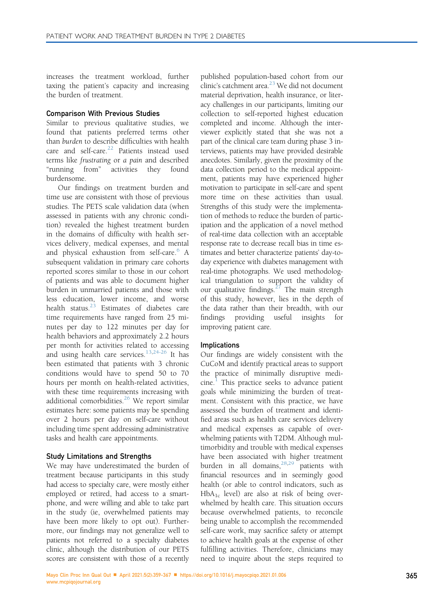increases the treatment workload, further taxing the patient's capacity and increasing the burden of treatment.

## Comparison With Previous Studies

Similar to previous qualitative studies, we found that patients preferred terms other than burden to describe difficulties with health care and self-care. $22$  Patients instead used terms like frustrating or a pain and described "running from" activities they found burdensome.

Our findings on treatment burden and time use are consistent with those of previous studies. The PETS scale validation data (when assessed in patients with any chronic condition) revealed the highest treatment burden in the domains of difficulty with health services delivery, medical expenses, and mental and physical exhaustion from self-care.<sup>[6](#page-8-2)</sup> A subsequent validation in primary care cohorts reported scores similar to those in our cohort of patients and was able to document higher burden in unmarried patients and those with less education, lower income, and worse health status. $23$  Estimates of diabetes care time requirements have ranged from 25 minutes per day to 122 minutes per day for health behaviors and approximately 2.2 hours per month for activities related to accessing and using health care services.<sup>[13](#page-8-7)[,24-26](#page-8-18)</sup> It has been estimated that patients with 3 chronic conditions would have to spend 50 to 70 hours per month on health-related activities, with these time requirements increasing with additional comorbidities.<sup>[26](#page-8-19)</sup> We report similar estimates here: some patients may be spending over 2 hours per day on self-care without including time spent addressing administrative tasks and health care appointments.

## Study Limitations and Strengths

We may have underestimated the burden of treatment because participants in this study had access to specialty care, were mostly either employed or retired, had access to a smartphone, and were willing and able to take part in the study (ie, overwhelmed patients may have been more likely to opt out). Furthermore, our findings may not generalize well to patients not referred to a specialty diabetes clinic, although the distribution of our PETS scores are consistent with those of a recently

published population-based cohort from our clinic's catchment area.<sup>23</sup> We did not document material deprivation, health insurance, or literacy challenges in our participants, limiting our collection to self-reported highest education completed and income. Although the interviewer explicitly stated that she was not a part of the clinical care team during phase 3 interviews, patients may have provided desirable anecdotes. Similarly, given the proximity of the data collection period to the medical appointment, patients may have experienced higher motivation to participate in self-care and spent more time on these activities than usual. Strengths of this study were the implementation of methods to reduce the burden of participation and the application of a novel method of real-time data collection with an acceptable response rate to decrease recall bias in time estimates and better characterize patients' day-today experience with diabetes management with real-time photographs. We used methodological triangulation to support the validity of our qualitative findings.<sup>[27](#page-8-20)</sup> The main strength of this study, however, lies in the depth of the data rather than their breadth, with our findings providing useful insights for improving patient care.

## Implications

Our findings are widely consistent with the CuCoM and identify practical areas to support the practice of minimally disruptive medi- $cine.<sup>1</sup>$  $cine.<sup>1</sup>$  $cine.<sup>1</sup>$  This practice seeks to advance patient goals while minimizing the burden of treatment. Consistent with this practice, we have assessed the burden of treatment and identified areas such as health care services delivery and medical expenses as capable of overwhelming patients with T2DM. Although multimorbidity and trouble with medical expenses have been associated with higher treatment burden in all domains, $28,29$  $28,29$  patients with financial resources and in seemingly good health (or able to control indicators, such as  $HbA_{1c}$  level) are also at risk of being overwhelmed by health care. This situation occurs because overwhelmed patients, to reconcile being unable to accomplish the recommended self-care work, may sacrifice safety or attempt to achieve health goals at the expense of other fulfilling activities. Therefore, clinicians may need to inquire about the steps required to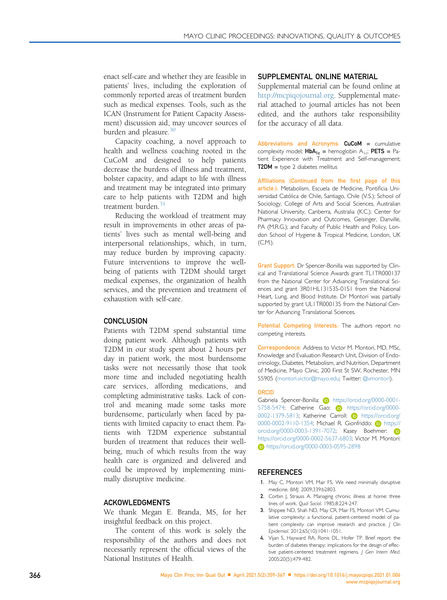enact self-care and whether they are feasible in patients' lives, including the exploration of commonly reported areas of treatment burden such as medical expenses. Tools, such as the ICAN (Instrument for Patient Capacity Assessment) discussion aid, may uncover sources of burden and pleasure.<sup>[30](#page-8-23)</sup>

Capacity coaching, a novel approach to health and wellness coaching rooted in the CuCoM and designed to help patients decrease the burdens of illness and treatment, bolster capacity, and adapt to life with illness and treatment may be integrated into primary care to help patients with T2DM and high treatment burden.<sup>[31](#page-8-24)</sup>

Reducing the workload of treatment may result in improvements in other areas of patients' lives such as mental well-being and interpersonal relationships, which, in turn, may reduce burden by improving capacity. Future interventions to improve the wellbeing of patients with T2DM should target medical expenses, the organization of health services, and the prevention and treatment of exhaustion with self-care.

## **CONCLUSION**

Patients with T2DM spend substantial time doing patient work. Although patients with T2DM in our study spent about 2 hours per day in patient work, the most burdensome tasks were not necessarily those that took more time and included negotiating health care services, affording medications, and completing administrative tasks. Lack of control and meaning made some tasks more burdensome, particularly when faced by patients with limited capacity to enact them. Patients with T2DM experience substantial burden of treatment that reduces their wellbeing, much of which results from the way health care is organized and delivered and could be improved by implementing minimally disruptive medicine.

#### ACKOWLEDGMENTS

We thank Megan E. Branda, MS, for her insightful feedback on this project.

The content of this work is solely the responsibility of the authors and does not necessarily represent the official views of the National Institutes of Health.

## SUPPLEMENTAL ONLINE MATERIAL

Supplemental material can be found online at <http://mcpiqojournal.org>. Supplemental material attached to journal articles has not been edited, and the authors take responsibility for the accuracy of all data.

Abbreviations and Acronyms: CuCoM = cumulative complexity model;  $HbA_{1c}$  = hemoglobin  $A_{1c}$ ; PETS = Patient Experience with Treatment and Self-management;  $T2DM = type 2$  diabetes mellitus

Affiliations (Continued from the first page of this article.): Metabolism, Escuela de Medicine, Pontificia Universidad Católica de Chile, Santiago, Chile (V.S.); School of Sociology, College of Arts and Social Sciences, Australian National University, Canberra, Australia (K.C.); Center for Pharmacy Innovation and Outcomes, Geisinger, Danville, PA (M.R.G.); and Faculty of Public Health and Policy, London School of Hygiene & Tropical Medicine, London, UK (C.M.).

Grant Support: Dr Spencer-Bonilla was supported by Clinical and Translational Science Awards grant TL1TR000137 from the National Center for Advancing Translational Sciences and grant 3R01HL131535-01S1 from the National Heart, Lung, and Blood Institute. Dr Montori was partially supported by grant UL1TR000135 from the National Center for Advancing Translational Sciences.

Potential Competing Interests: The authors report no competing interests.

Correspondence: Address to Victor M. Montori, MD, MSc, Knowledge and Evaluation Research Unit, Division of Endocrinology, Diabetes, Metabolism, and Nutrition, Department of Medicine, Mayo Clinic, 200 First St SW, Rochester, MN 55905 ([montori.victor@mayo.edu](mailto:montori.victor@mayo.edu); Twitter: [@vmontori](https://twitter.com/vmontori)).

#### ORCID

Gabriela Spencer-Bonilla: (b) [https://orcid.org/0000-0001-](https://orcid.org/0000-0001-5758-5474) [5758-5474; Catherine Gao:](https://orcid.org/0000-0001-5758-5474) **D** [https://orcid.org/0000-](https://orcid.org/0000-0002-1379-5813) [0002-1379-5813; Katherine Carroll:](https://orcid.org/0000-0002-1379-5813) **D** [https://orcid.org/](https://orcid.org/0000-0002-9110-1354) [0000-0002-9110-1354; Michael R. Gionfriddo:](https://orcid.org/0000-0002-9110-1354) (iD [https://](https://orcid.org/0000-0003-1391-7072) [orcid.org/0000-0003-1391-7072; Kasey Boehmer:](https://orcid.org/0000-0003-1391-7072) iD [https://orcid.org/0000-0002-5637-6803; Victor M. Montori:](https://orcid.org/0000-0002-5637-6803) **b** <https://orcid.org/0000-0003-0595-2898>

#### **REFERENCES**

- <span id="page-7-0"></span>1. May C, Montori VM, Mair FS. We need minimally disruptive medicine. BMJ. 2009;339:b2803.
- <span id="page-7-1"></span>2. Corbin J, Strauss A. Managing chronic illness at home: three lines of work. Qual Sociol. 1985;8:224-247.
- <span id="page-7-2"></span>3. Shippee ND, Shah ND, May CR, Mair FS, Montori VM. Cumulative complexity: a functional, patient-centered model of patient complexity can improve research and practice. | Clin Epidemiol. 2012;65(10):1041-1051.
- <span id="page-7-3"></span>4. Vijan S, Hayward RA, Ronis DL, Hofer TP. Brief report: the burden of diabetes therapy; implications for the design of effective patient-centered treatment regimens. J Gen Intern Med. 2005;20(5):479-482.